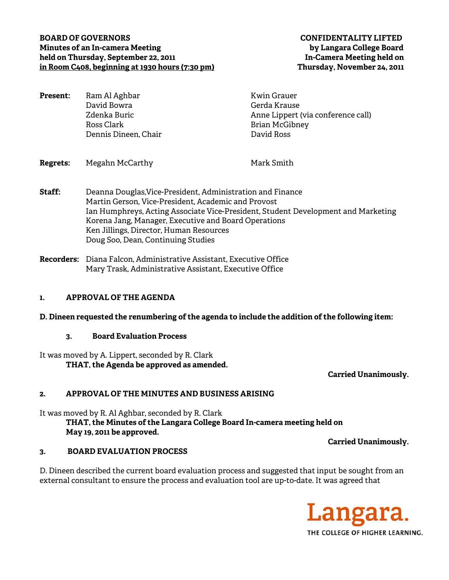### **BOARD OF GOVERNORS CONFIDENTALITY LIFTED Minutes of an In-camera Meeting by Langara College Board held on Thursday, September 22, 2011 In-Camera Meeting held on in Room C408, beginning at 1930 hours (7:30 pm) Thursday, November 24, 2011**

| <b>Present:</b> | Ram Al Aghbar        | Kwin Grauer                        |
|-----------------|----------------------|------------------------------------|
|                 | David Bowra          | Gerda Krause                       |
|                 | Zdenka Buric         | Anne Lippert (via conference call) |
|                 | Ross Clark           | <b>Brian McGibney</b>              |
|                 | Dennis Dineen, Chair | David Ross                         |
|                 |                      |                                    |

- **Regrets:** Megahn McCarthy Mark Smith
- **Staff:** Deanna Douglas,Vice-President, Administration and Finance Martin Gerson, Vice-President, Academic and Provost Ian Humphreys, Acting Associate Vice-President, Student Development and Marketing Korena Jang, Manager, Executive and Board Operations Ken Jillings, Director, Human Resources Doug Soo, Dean, Continuing Studies
- **Recorders:** Diana Falcon, Administrative Assistant, Executive Office Mary Trask, Administrative Assistant, Executive Office

### **1. APPROVAL OF THE AGENDA**

#### **D. Dineen requested the renumbering of the agenda to include the addition of the following item:**

#### **3. Board Evaluation Process**

It was moved by A. Lippert, seconded by R. Clark **THAT, the Agenda be approved as amended.** 

 **Carried Unanimously.** 

#### **2. APPROVAL OF THE MINUTES AND BUSINESS ARISING**

It was moved by R. Al Aghbar, seconded by R. Clark **THAT, the Minutes of the Langara College Board In-camera meeting held on May 19, 2011 be approved.** 

#### **3. BOARD EVALUATION PROCESS**

D. Dineen described the current board evaluation process and suggested that input be sought from an external consultant to ensure the process and evaluation tool are up-to-date. It was agreed that



**Carried Unanimously.**